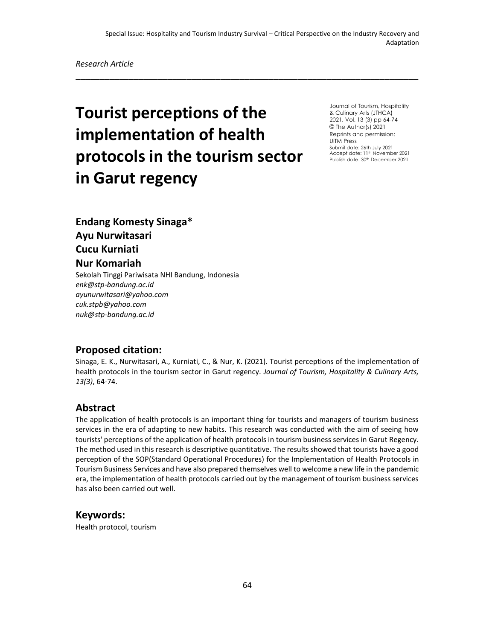\_\_\_\_\_\_\_\_\_\_\_\_\_\_\_\_\_\_\_\_\_\_\_\_\_\_\_\_\_\_\_\_\_\_\_\_\_\_\_\_\_\_\_\_\_\_\_\_\_\_\_\_\_\_\_\_\_\_\_\_\_\_\_\_\_\_\_\_\_\_\_

*Research Article*

# **Tourist perceptions of the implementation of health protocols in the tourism sector in Garut regency**

Journal of Tourism, Hospitality & Culinary Arts (JTHCA) 2021, Vol. 13 (3) pp 64-74 © The Author(s) 2021 Reprints and permission: UiTM Press Submit date: 26th July 2021 Accept date: 11<sup>th</sup> November 2021 Publish date: 30<sup>th</sup> December 2021

**Endang Komesty Sinaga\* Ayu Nurwitasari Cucu Kurniati Nur Komariah** Sekolah Tinggi Pariwisata NHI Bandung, Indonesia

*enk@stp-bandung.ac.id ayunurwitasari@yahoo.com cuk.stpb@yahoo.com nuk@stp-bandung.ac.id*

#### **Proposed citation:**

Sinaga, E. K., Nurwitasari, A., Kurniati, C., & Nur, K. (2021). Tourist perceptions of the implementation of health protocols in the tourism sector in Garut regency. *Journal of Tourism, Hospitality & Culinary Arts, 13(3)*, 64-74.

#### **Abstract**

The application of health protocols is an important thing for tourists and managers of tourism business services in the era of adapting to new habits. This research was conducted with the aim of seeing how tourists' perceptions of the application of health protocols in tourism business services in Garut Regency. The method used in this research is descriptive quantitative. The results showed that tourists have a good perception of the SOP(Standard Operational Procedures) for the Implementation of Health Protocols in Tourism Business Services and have also prepared themselves well to welcome a new life in the pandemic era, the implementation of health protocols carried out by the management of tourism business services has also been carried out well.

#### **Keywords:**

Health protocol, tourism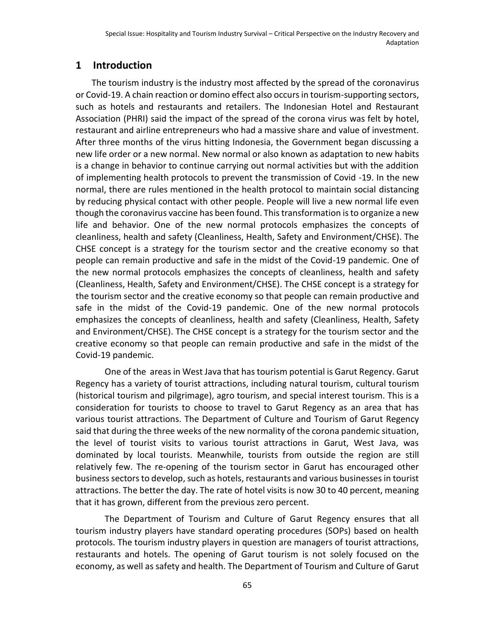# **1 Introduction**

The tourism industry is the industry most affected by the spread of the coronavirus or Covid-19. A chain reaction or domino effect also occurs in tourism-supporting sectors, such as hotels and restaurants and retailers. The Indonesian Hotel and Restaurant Association (PHRI) said the impact of the spread of the corona virus was felt by hotel, restaurant and airline entrepreneurs who had a massive share and value of investment. After three months of the virus hitting Indonesia, the Government began discussing a new life order or a new normal. New normal or also known as adaptation to new habits is a change in behavior to continue carrying out normal activities but with the addition of implementing health protocols to prevent the transmission of Covid -19. In the new normal, there are rules mentioned in the health protocol to maintain social distancing by reducing physical contact with other people. People will live a new normal life even though the coronavirus vaccine has been found. This transformation is to organize a new life and behavior. One of the new normal protocols emphasizes the concepts of cleanliness, health and safety (Cleanliness, Health, Safety and Environment/CHSE). The CHSE concept is a strategy for the tourism sector and the creative economy so that people can remain productive and safe in the midst of the Covid-19 pandemic. One of the new normal protocols emphasizes the concepts of cleanliness, health and safety (Cleanliness, Health, Safety and Environment/CHSE). The CHSE concept is a strategy for the tourism sector and the creative economy so that people can remain productive and safe in the midst of the Covid-19 pandemic. One of the new normal protocols emphasizes the concepts of cleanliness, health and safety (Cleanliness, Health, Safety and Environment/CHSE). The CHSE concept is a strategy for the tourism sector and the creative economy so that people can remain productive and safe in the midst of the Covid-19 pandemic.

One of the areas in West Java that has tourism potential is Garut Regency. Garut Regency has a variety of tourist attractions, including natural tourism, cultural tourism (historical tourism and pilgrimage), agro tourism, and special interest tourism. This is a consideration for tourists to choose to travel to Garut Regency as an area that has various tourist attractions. The Department of Culture and Tourism of Garut Regency said that during the three weeks of the new normality of the corona pandemic situation, the level of tourist visits to various tourist attractions in Garut, West Java, was dominated by local tourists. Meanwhile, tourists from outside the region are still relatively few. The re-opening of the tourism sector in Garut has encouraged other business sectors to develop, such as hotels, restaurants and various businesses in tourist attractions. The better the day. The rate of hotel visits is now 30 to 40 percent, meaning that it has grown, different from the previous zero percent.

The Department of Tourism and Culture of Garut Regency ensures that all tourism industry players have standard operating procedures (SOPs) based on health protocols. The tourism industry players in question are managers of tourist attractions, restaurants and hotels. The opening of Garut tourism is not solely focused on the economy, as well as safety and health. The Department of Tourism and Culture of Garut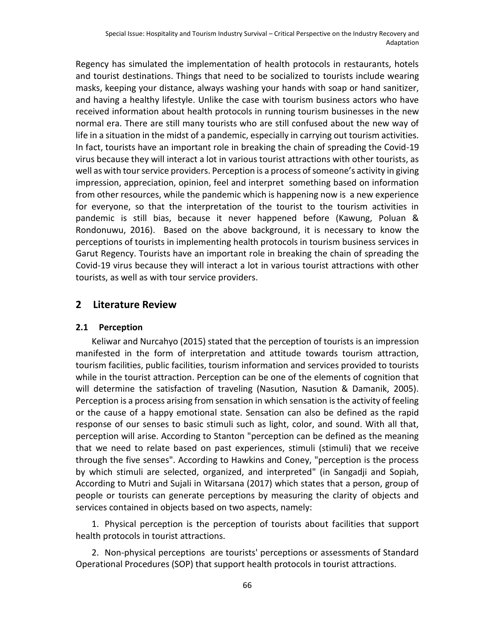Regency has simulated the implementation of health protocols in restaurants, hotels and tourist destinations. Things that need to be socialized to tourists include wearing masks, keeping your distance, always washing your hands with soap or hand sanitizer, and having a healthy lifestyle. Unlike the case with tourism business actors who have received information about health protocols in running tourism businesses in the new normal era. There are still many tourists who are still confused about the new way of life in a situation in the midst of a pandemic, especially in carrying out tourism activities. In fact, tourists have an important role in breaking the chain of spreading the Covid-19 virus because they will interact a lot in various tourist attractions with other tourists, as well as with tour service providers. Perception is a process of someone's activity in giving impression, appreciation, opinion, feel and interpret something based on information from other resources, while the pandemic which is happening now is a new experience for everyone, so that the interpretation of the tourist to the tourism activities in pandemic is still bias, because it never happened before (Kawung, Poluan & Rondonuwu, 2016). Based on the above background, it is necessary to know the perceptions of tourists in implementing health protocols in tourism business services in Garut Regency. Tourists have an important role in breaking the chain of spreading the Covid-19 virus because they will interact a lot in various tourist attractions with other tourists, as well as with tour service providers.

#### **2 Literature Review**

#### **2.1 Perception**

Keliwar and Nurcahyo (2015) stated that the perception of tourists is an impression manifested in the form of interpretation and attitude towards tourism attraction, tourism facilities, public facilities, tourism information and services provided to tourists while in the tourist attraction. Perception can be one of the elements of cognition that will determine the satisfaction of traveling (Nasution, Nasution & Damanik, 2005). Perception is a process arising from sensation in which sensation is the activity of feeling or the cause of a happy emotional state. Sensation can also be defined as the rapid response of our senses to basic stimuli such as light, color, and sound. With all that, perception will arise. According to Stanton "perception can be defined as the meaning that we need to relate based on past experiences, stimuli (stimuli) that we receive through the five senses". According to Hawkins and Coney, "perception is the process by which stimuli are selected, organized, and interpreted" (in Sangadji and Sopiah, According to Mutri and Sujali in Witarsana (2017) which states that a person, group of people or tourists can generate perceptions by measuring the clarity of objects and services contained in objects based on two aspects, namely:

1. Physical perception is the perception of tourists about facilities that support health protocols in tourist attractions.

2. Non-physical perceptions are tourists' perceptions or assessments of Standard Operational Procedures (SOP) that support health protocols in tourist attractions.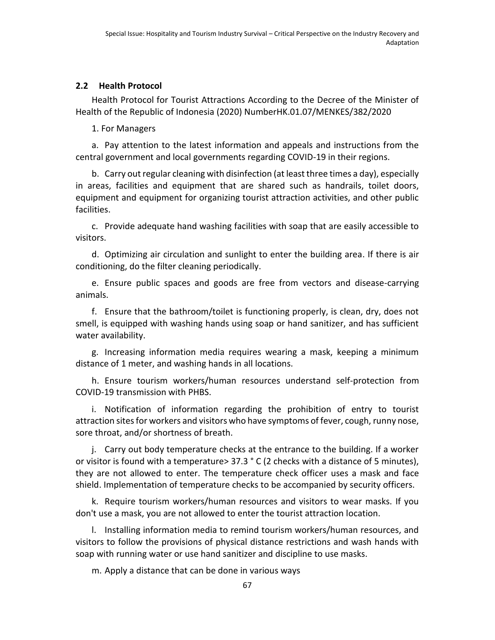#### **2.2 Health Protocol**

Health Protocol for Tourist Attractions According to the Decree of the Minister of Health of the Republic of Indonesia (2020) NumberHK.01.07/MENKES/382/2020

1. For Managers

a. Pay attention to the latest information and appeals and instructions from the central government and local governments regarding COVID-19 in their regions.

b. Carry out regular cleaning with disinfection (at least three times a day), especially in areas, facilities and equipment that are shared such as handrails, toilet doors, equipment and equipment for organizing tourist attraction activities, and other public facilities.

c. Provide adequate hand washing facilities with soap that are easily accessible to visitors.

d. Optimizing air circulation and sunlight to enter the building area. If there is air conditioning, do the filter cleaning periodically.

e. Ensure public spaces and goods are free from vectors and disease-carrying animals.

f. Ensure that the bathroom/toilet is functioning properly, is clean, dry, does not smell, is equipped with washing hands using soap or hand sanitizer, and has sufficient water availability.

g. Increasing information media requires wearing a mask, keeping a minimum distance of 1 meter, and washing hands in all locations.

h. Ensure tourism workers/human resources understand self-protection from COVID-19 transmission with PHBS.

i. Notification of information regarding the prohibition of entry to tourist attraction sites for workers and visitors who have symptoms of fever, cough, runny nose, sore throat, and/or shortness of breath.

j. Carry out body temperature checks at the entrance to the building. If a worker or visitor is found with a temperature> 37.3 ° C (2 checks with a distance of 5 minutes), they are not allowed to enter. The temperature check officer uses a mask and face shield. Implementation of temperature checks to be accompanied by security officers.

k. Require tourism workers/human resources and visitors to wear masks. If you don't use a mask, you are not allowed to enter the tourist attraction location.

l. Installing information media to remind tourism workers/human resources, and visitors to follow the provisions of physical distance restrictions and wash hands with soap with running water or use hand sanitizer and discipline to use masks.

m. Apply a distance that can be done in various ways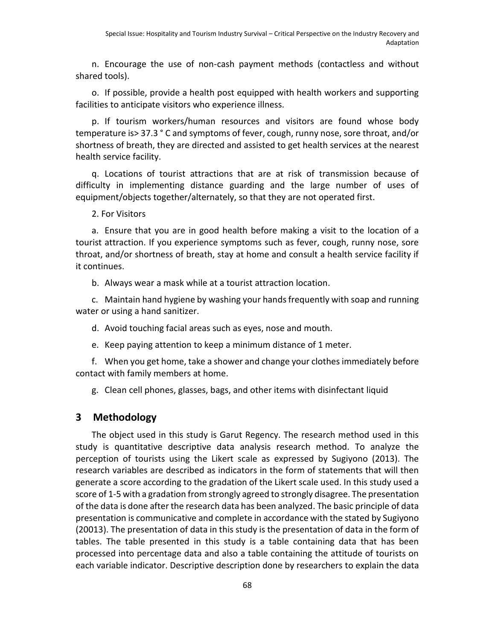n. Encourage the use of non-cash payment methods (contactless and without shared tools).

o. If possible, provide a health post equipped with health workers and supporting facilities to anticipate visitors who experience illness.

p. If tourism workers/human resources and visitors are found whose body temperature is> 37.3 ° C and symptoms of fever, cough, runny nose, sore throat, and/or shortness of breath, they are directed and assisted to get health services at the nearest health service facility.

q. Locations of tourist attractions that are at risk of transmission because of difficulty in implementing distance guarding and the large number of uses of equipment/objects together/alternately, so that they are not operated first.

2. For Visitors

a. Ensure that you are in good health before making a visit to the location of a tourist attraction. If you experience symptoms such as fever, cough, runny nose, sore throat, and/or shortness of breath, stay at home and consult a health service facility if it continues.

b. Always wear a mask while at a tourist attraction location.

c. Maintain hand hygiene by washing your hands frequently with soap and running water or using a hand sanitizer.

d. Avoid touching facial areas such as eyes, nose and mouth.

e. Keep paying attention to keep a minimum distance of 1 meter.

f. When you get home, take a shower and change your clothes immediately before contact with family members at home.

g. Clean cell phones, glasses, bags, and other items with disinfectant liquid

#### **3 Methodology**

The object used in this study is Garut Regency. The research method used in this study is quantitative descriptive data analysis research method. To analyze the perception of tourists using the Likert scale as expressed by Sugiyono (2013). The research variables are described as indicators in the form of statements that will then generate a score according to the gradation of the Likert scale used. In this study used a score of 1-5 with a gradation from strongly agreed to strongly disagree. The presentation of the data is done after the research data has been analyzed. The basic principle of data presentation is communicative and complete in accordance with the stated by Sugiyono (20013). The presentation of data in this study is the presentation of data in the form of tables. The table presented in this study is a table containing data that has been processed into percentage data and also a table containing the attitude of tourists on each variable indicator. Descriptive description done by researchers to explain the data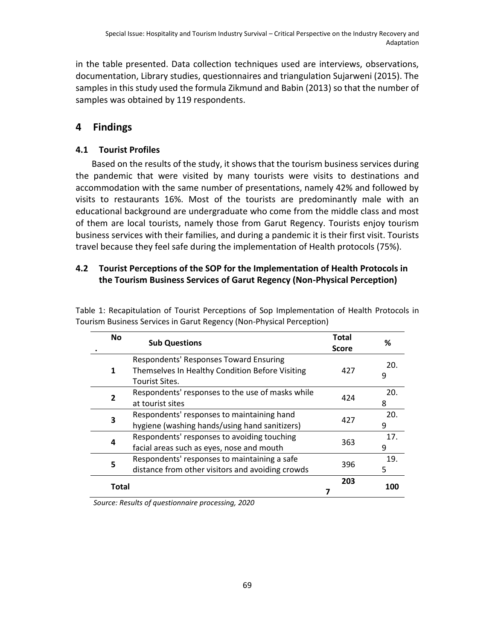in the table presented. Data collection techniques used are interviews, observations, documentation, Library studies, questionnaires and triangulation Sujarweni (2015). The samples in this study used the formula Zikmund and Babin (2013) so that the number of samples was obtained by 119 respondents.

# **4 Findings**

# **4.1 Tourist Profiles**

Based on the results of the study, it shows that the tourism business services during the pandemic that were visited by many tourists were visits to destinations and accommodation with the same number of presentations, namely 42% and followed by visits to restaurants 16%. Most of the tourists are predominantly male with an educational background are undergraduate who come from the middle class and most of them are local tourists, namely those from Garut Regency. Tourists enjoy tourism business services with their families, and during a pandemic it is their first visit. Tourists travel because they feel safe during the implementation of Health protocols (75%).

# **4.2 Tourist Perceptions of the SOP for the Implementation of Health Protocols in the Tourism Business Services of Garut Regency (Non-Physical Perception)**

| <b>No</b>    | <b>Sub Questions</b>                                                                                        | Total<br>Score | ℅        |
|--------------|-------------------------------------------------------------------------------------------------------------|----------------|----------|
| 1            | Respondents' Responses Toward Ensuring<br>Themselves In Healthy Condition Before Visiting<br>Tourist Sites. | 427            | 20.<br>9 |
| $\mathbf{z}$ | Respondents' responses to the use of masks while<br>at tourist sites                                        | 424            | 20.<br>8 |
| 3            | Respondents' responses to maintaining hand<br>hygiene (washing hands/using hand sanitizers)                 | 427            | 20.<br>9 |
| 4            | Respondents' responses to avoiding touching<br>facial areas such as eyes, nose and mouth                    | 363            | 17.<br>9 |
| 5            | Respondents' responses to maintaining a safe<br>distance from other visitors and avoiding crowds            | 396            | 19.<br>5 |
| Total        |                                                                                                             | 203            | 100      |

Table 1: Recapitulation of Tourist Perceptions of Sop Implementation of Health Protocols in Tourism Business Services in Garut Regency (Non-Physical Perception)

*Source: Results of questionnaire processing, 2020*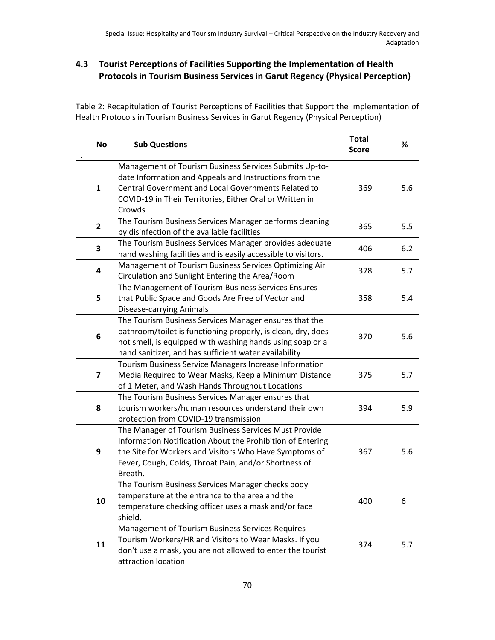# **4.3 Tourist Perceptions of Facilities Supporting the Implementation of Health Protocols in Tourism Business Services in Garut Regency (Physical Perception)**

Table 2: Recapitulation of Tourist Perceptions of Facilities that Support the Implementation of Health Protocols in Tourism Business Services in Garut Regency (Physical Perception)

| <b>No</b>    | <b>Sub Questions</b>                                                                                                                                                                                                                              | <b>Total</b><br><b>Score</b> | %   |
|--------------|---------------------------------------------------------------------------------------------------------------------------------------------------------------------------------------------------------------------------------------------------|------------------------------|-----|
| $\mathbf{1}$ | Management of Tourism Business Services Submits Up-to-<br>date Information and Appeals and Instructions from the<br>Central Government and Local Governments Related to<br>COVID-19 in Their Territories, Either Oral or Written in<br>Crowds     | 369                          | 5.6 |
| 2            | The Tourism Business Services Manager performs cleaning<br>by disinfection of the available facilities                                                                                                                                            | 365                          | 5.5 |
| 3            | The Tourism Business Services Manager provides adequate<br>hand washing facilities and is easily accessible to visitors.                                                                                                                          | 406                          | 6.2 |
| 4            | Management of Tourism Business Services Optimizing Air<br>Circulation and Sunlight Entering the Area/Room                                                                                                                                         | 378                          | 5.7 |
| 5            | The Management of Tourism Business Services Ensures<br>that Public Space and Goods Are Free of Vector and<br>Disease-carrying Animals                                                                                                             | 358                          | 5.4 |
| 6            | The Tourism Business Services Manager ensures that the<br>bathroom/toilet is functioning properly, is clean, dry, does<br>not smell, is equipped with washing hands using soap or a<br>hand sanitizer, and has sufficient water availability      | 370                          | 5.6 |
| 7            | Tourism Business Service Managers Increase Information<br>Media Required to Wear Masks, Keep a Minimum Distance<br>of 1 Meter, and Wash Hands Throughout Locations                                                                                | 375                          | 5.7 |
| 8            | The Tourism Business Services Manager ensures that<br>tourism workers/human resources understand their own<br>protection from COVID-19 transmission                                                                                               | 394                          | 5.9 |
| 9            | The Manager of Tourism Business Services Must Provide<br>Information Notification About the Prohibition of Entering<br>the Site for Workers and Visitors Who Have Symptoms of<br>Fever, Cough, Colds, Throat Pain, and/or Shortness of<br>Breath. | 367                          | 5.6 |
| 10           | The Tourism Business Services Manager checks body<br>temperature at the entrance to the area and the<br>temperature checking officer uses a mask and/or face<br>shield.                                                                           | 400                          | 6   |
| 11           | Management of Tourism Business Services Requires<br>Tourism Workers/HR and Visitors to Wear Masks. If you<br>don't use a mask, you are not allowed to enter the tourist<br>attraction location                                                    | 374                          | 5.7 |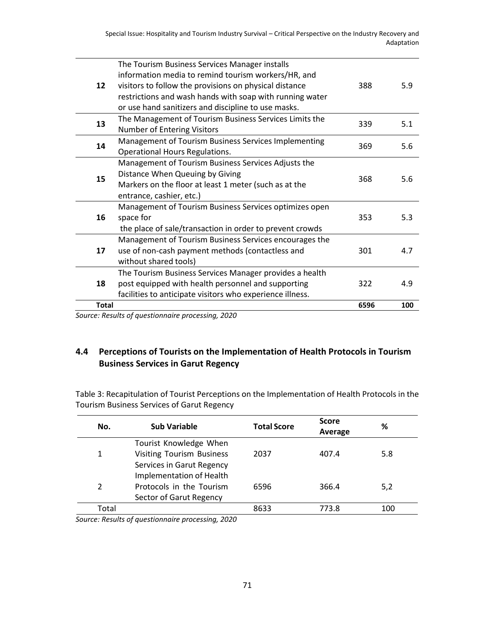|              | Source: Results of questionnaire processing 2020                                                              |      |     |
|--------------|---------------------------------------------------------------------------------------------------------------|------|-----|
| <b>Total</b> |                                                                                                               | 6596 | 100 |
| 18           | facilities to anticipate visitors who experience illness.                                                     |      |     |
|              | post equipped with health personnel and supporting                                                            | 322  | 4.9 |
|              | The Tourism Business Services Manager provides a health                                                       |      |     |
| 17           | use of non-cash payment methods (contactless and<br>without shared tools)                                     | 301  | 4.7 |
|              | Management of Tourism Business Services encourages the                                                        |      |     |
| 16           | the place of sale/transaction in order to prevent crowds                                                      |      |     |
|              | space for                                                                                                     | 353  | 5.3 |
|              | Management of Tourism Business Services optimizes open                                                        |      |     |
| 15           | entrance, cashier, etc.)                                                                                      |      |     |
|              | Markers on the floor at least 1 meter (such as at the                                                         | 368  | 5.6 |
|              | Distance When Queuing by Giving                                                                               |      |     |
|              | Management of Tourism Business Services Adjusts the                                                           |      |     |
| 14           | <b>Operational Hours Regulations.</b>                                                                         | 369  | 5.6 |
|              | Management of Tourism Business Services Implementing                                                          |      |     |
| 13           | Number of Entering Visitors                                                                                   | 339  | 5.1 |
|              | The Management of Tourism Business Services Limits the                                                        |      |     |
|              | or use hand sanitizers and discipline to use masks.                                                           |      |     |
|              | restrictions and wash hands with soap with running water                                                      |      |     |
| 12           | information media to remind tourism workers/HR, and<br>visitors to follow the provisions on physical distance | 388  | 5.9 |
|              |                                                                                                               |      |     |
|              | The Tourism Business Services Manager installs                                                                |      |     |

#### *Source: Results of questionnaire processing, 2020*

# **4.4 Perceptions of Tourists on the Implementation of Health Protocols in Tourism Business Services in Garut Regency**

Table 3: Recapitulation of Tourist Perceptions on the Implementation of Health Protocols in the Tourism Business Services of Garut Regency

| No.           | Sub Variable                     | <b>Total Score</b> | <b>Score</b><br>Average | ℅   |
|---------------|----------------------------------|--------------------|-------------------------|-----|
|               | Tourist Knowledge When           |                    |                         |     |
| $\mathbf{1}$  | <b>Visiting Tourism Business</b> | 2037               | 407.4                   | 5.8 |
|               | Services in Garut Regency        |                    |                         |     |
|               | Implementation of Health         |                    |                         |     |
| $\mathcal{P}$ | Protocols in the Tourism         | 6596               | 366.4                   | 5,2 |
|               | Sector of Garut Regency          |                    |                         |     |
| Total         |                                  | 8633               | 773.8                   | 100 |
|               |                                  |                    |                         |     |

*Source: Results of questionnaire processing, 2020*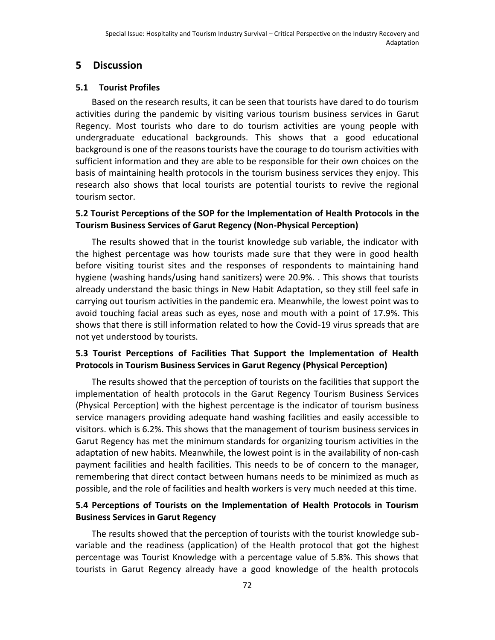# **5 Discussion**

#### **5.1 Tourist Profiles**

Based on the research results, it can be seen that tourists have dared to do tourism activities during the pandemic by visiting various tourism business services in Garut Regency. Most tourists who dare to do tourism activities are young people with undergraduate educational backgrounds. This shows that a good educational background is one of the reasons tourists have the courage to do tourism activities with sufficient information and they are able to be responsible for their own choices on the basis of maintaining health protocols in the tourism business services they enjoy. This research also shows that local tourists are potential tourists to revive the regional tourism sector.

#### **5.2 Tourist Perceptions of the SOP for the Implementation of Health Protocols in the Tourism Business Services of Garut Regency (Non-Physical Perception)**

The results showed that in the tourist knowledge sub variable, the indicator with the highest percentage was how tourists made sure that they were in good health before visiting tourist sites and the responses of respondents to maintaining hand hygiene (washing hands/using hand sanitizers) were 20.9%. . This shows that tourists already understand the basic things in New Habit Adaptation, so they still feel safe in carrying out tourism activities in the pandemic era. Meanwhile, the lowest point was to avoid touching facial areas such as eyes, nose and mouth with a point of 17.9%. This shows that there is still information related to how the Covid-19 virus spreads that are not yet understood by tourists.

# **5.3 Tourist Perceptions of Facilities That Support the Implementation of Health Protocols in Tourism Business Services in Garut Regency (Physical Perception)**

The results showed that the perception of tourists on the facilities that support the implementation of health protocols in the Garut Regency Tourism Business Services (Physical Perception) with the highest percentage is the indicator of tourism business service managers providing adequate hand washing facilities and easily accessible to visitors. which is 6.2%. This shows that the management of tourism business services in Garut Regency has met the minimum standards for organizing tourism activities in the adaptation of new habits. Meanwhile, the lowest point is in the availability of non-cash payment facilities and health facilities. This needs to be of concern to the manager, remembering that direct contact between humans needs to be minimized as much as possible, and the role of facilities and health workers is very much needed at this time.

#### **5.4 Perceptions of Tourists on the Implementation of Health Protocols in Tourism Business Services in Garut Regency**

The results showed that the perception of tourists with the tourist knowledge subvariable and the readiness (application) of the Health protocol that got the highest percentage was Tourist Knowledge with a percentage value of 5.8%. This shows that tourists in Garut Regency already have a good knowledge of the health protocols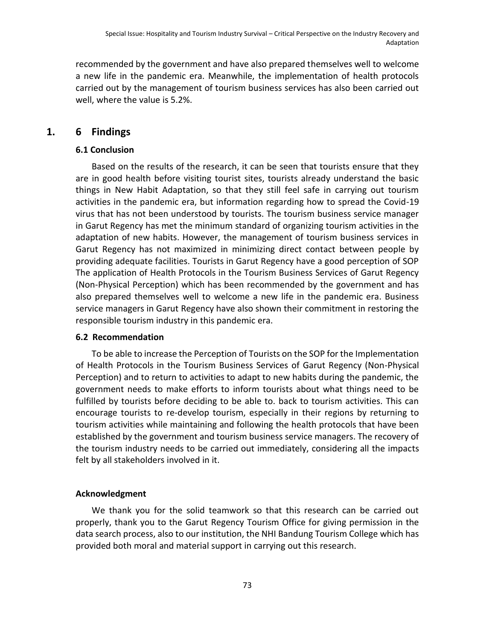recommended by the government and have also prepared themselves well to welcome a new life in the pandemic era. Meanwhile, the implementation of health protocols carried out by the management of tourism business services has also been carried out well, where the value is 5.2%.

#### **1. 6 Findings**

#### **6.1 Conclusion**

Based on the results of the research, it can be seen that tourists ensure that they are in good health before visiting tourist sites, tourists already understand the basic things in New Habit Adaptation, so that they still feel safe in carrying out tourism activities in the pandemic era, but information regarding how to spread the Covid-19 virus that has not been understood by tourists. The tourism business service manager in Garut Regency has met the minimum standard of organizing tourism activities in the adaptation of new habits. However, the management of tourism business services in Garut Regency has not maximized in minimizing direct contact between people by providing adequate facilities. Tourists in Garut Regency have a good perception of SOP The application of Health Protocols in the Tourism Business Services of Garut Regency (Non-Physical Perception) which has been recommended by the government and has also prepared themselves well to welcome a new life in the pandemic era. Business service managers in Garut Regency have also shown their commitment in restoring the responsible tourism industry in this pandemic era.

#### **6.2 Recommendation**

To be able to increase the Perception of Tourists on the SOP for the Implementation of Health Protocols in the Tourism Business Services of Garut Regency (Non-Physical Perception) and to return to activities to adapt to new habits during the pandemic, the government needs to make efforts to inform tourists about what things need to be fulfilled by tourists before deciding to be able to. back to tourism activities. This can encourage tourists to re-develop tourism, especially in their regions by returning to tourism activities while maintaining and following the health protocols that have been established by the government and tourism business service managers. The recovery of the tourism industry needs to be carried out immediately, considering all the impacts felt by all stakeholders involved in it.

#### **Acknowledgment**

We thank you for the solid teamwork so that this research can be carried out properly, thank you to the Garut Regency Tourism Office for giving permission in the data search process, also to our institution, the NHI Bandung Tourism College which has provided both moral and material support in carrying out this research.